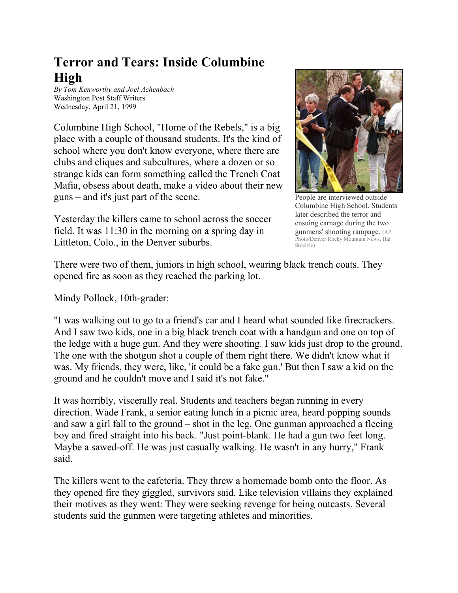## **Terror and Tears: Inside Columbine High**

*By Tom Kenworthy and Joel Achenbach* Washington Post Staff Writers Wednesday, April 21, 1999

Columbine High School, "Home of the Rebels," is a big place with a couple of thousand students. It's the kind of school where you don't know everyone, where there are clubs and cliques and subcultures, where a dozen or so strange kids can form something called the Trench Coat Mafia, obsess about death, make a video about their new guns – and it's just part of the scene.

Yesterday the killers came to school across the soccer field. It was 11:30 in the morning on a spring day in Littleton, Colo., in the Denver suburbs.



People are interviewed outside Columbine High School. Students later described the terror and ensuing carnage during the two gunmens' shooting rampage. (AP Photo/Denver Rocky Mountain News, Hal Stoelzle)

There were two of them, juniors in high school, wearing black trench coats. They opened fire as soon as they reached the parking lot.

Mindy Pollock, 10th-grader:

"I was walking out to go to a friend's car and I heard what sounded like firecrackers. And I saw two kids, one in a big black trench coat with a handgun and one on top of the ledge with a huge gun. And they were shooting. I saw kids just drop to the ground. The one with the shotgun shot a couple of them right there. We didn't know what it was. My friends, they were, like, 'it could be a fake gun.' But then I saw a kid on the ground and he couldn't move and I said it's not fake."

It was horribly, viscerally real. Students and teachers began running in every direction. Wade Frank, a senior eating lunch in a picnic area, heard popping sounds and saw a girl fall to the ground – shot in the leg. One gunman approached a fleeing boy and fired straight into his back. "Just point-blank. He had a gun two feet long. Maybe a sawed-off. He was just casually walking. He wasn't in any hurry," Frank said.

The killers went to the cafeteria. They threw a homemade bomb onto the floor. As they opened fire they giggled, survivors said. Like television villains they explained their motives as they went: They were seeking revenge for being outcasts. Several students said the gunmen were targeting athletes and minorities.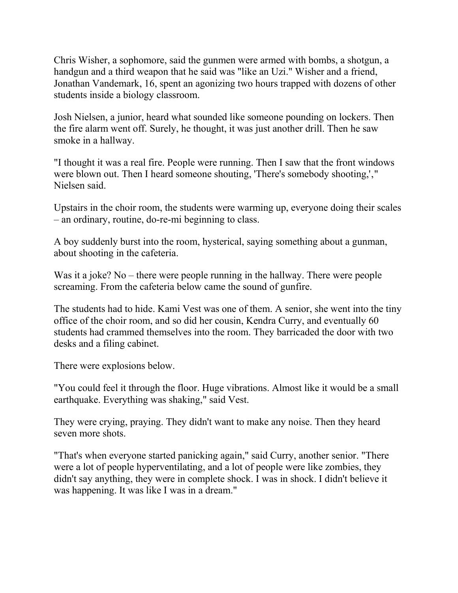Chris Wisher, a sophomore, said the gunmen were armed with bombs, a shotgun, a handgun and a third weapon that he said was "like an Uzi." Wisher and a friend, Jonathan Vandemark, 16, spent an agonizing two hours trapped with dozens of other students inside a biology classroom.

Josh Nielsen, a junior, heard what sounded like someone pounding on lockers. Then the fire alarm went off. Surely, he thought, it was just another drill. Then he saw smoke in a hallway.

"I thought it was a real fire. People were running. Then I saw that the front windows were blown out. Then I heard someone shouting, 'There's somebody shooting,'," Nielsen said.

Upstairs in the choir room, the students were warming up, everyone doing their scales – an ordinary, routine, do-re-mi beginning to class.

A boy suddenly burst into the room, hysterical, saying something about a gunman, about shooting in the cafeteria.

Was it a joke? No – there were people running in the hallway. There were people screaming. From the cafeteria below came the sound of gunfire.

The students had to hide. Kami Vest was one of them. A senior, she went into the tiny office of the choir room, and so did her cousin, Kendra Curry, and eventually 60 students had crammed themselves into the room. They barricaded the door with two desks and a filing cabinet.

There were explosions below.

"You could feel it through the floor. Huge vibrations. Almost like it would be a small earthquake. Everything was shaking," said Vest.

They were crying, praying. They didn't want to make any noise. Then they heard seven more shots.

"That's when everyone started panicking again," said Curry, another senior. "There were a lot of people hyperventilating, and a lot of people were like zombies, they didn't say anything, they were in complete shock. I was in shock. I didn't believe it was happening. It was like I was in a dream."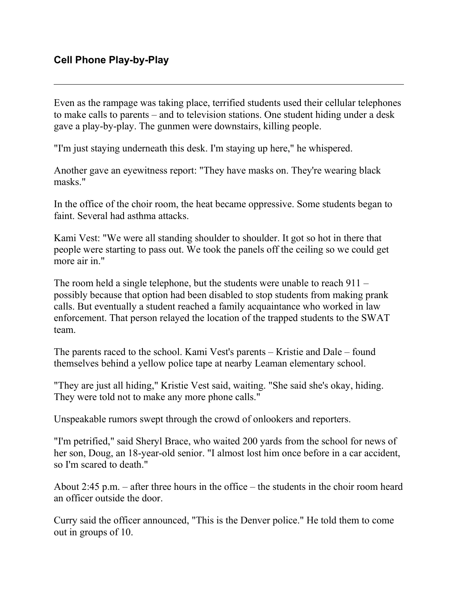Even as the rampage was taking place, terrified students used their cellular telephones to make calls to parents – and to television stations. One student hiding under a desk gave a play-by-play. The gunmen were downstairs, killing people.

"I'm just staying underneath this desk. I'm staying up here," he whispered.

Another gave an eyewitness report: "They have masks on. They're wearing black masks."

In the office of the choir room, the heat became oppressive. Some students began to faint. Several had asthma attacks.

Kami Vest: "We were all standing shoulder to shoulder. It got so hot in there that people were starting to pass out. We took the panels off the ceiling so we could get more air in."

The room held a single telephone, but the students were unable to reach 911 – possibly because that option had been disabled to stop students from making prank calls. But eventually a student reached a family acquaintance who worked in law enforcement. That person relayed the location of the trapped students to the SWAT team.

The parents raced to the school. Kami Vest's parents – Kristie and Dale – found themselves behind a yellow police tape at nearby Leaman elementary school.

"They are just all hiding," Kristie Vest said, waiting. "She said she's okay, hiding. They were told not to make any more phone calls."

Unspeakable rumors swept through the crowd of onlookers and reporters.

"I'm petrified," said Sheryl Brace, who waited 200 yards from the school for news of her son, Doug, an 18-year-old senior. "I almost lost him once before in a car accident, so I'm scared to death."

About 2:45 p.m. – after three hours in the office – the students in the choir room heard an officer outside the door.

Curry said the officer announced, "This is the Denver police." He told them to come out in groups of 10.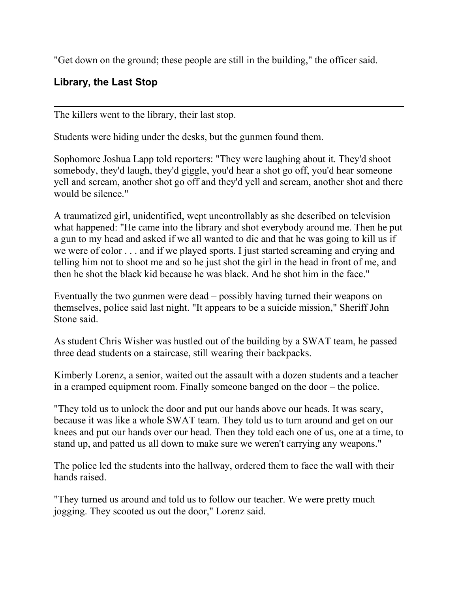"Get down on the ground; these people are still in the building," the officer said.

## **Library, the Last Stop**

The killers went to the library, their last stop.

Students were hiding under the desks, but the gunmen found them.

Sophomore Joshua Lapp told reporters: "They were laughing about it. They'd shoot somebody, they'd laugh, they'd giggle, you'd hear a shot go off, you'd hear someone yell and scream, another shot go off and they'd yell and scream, another shot and there would be silence."

A traumatized girl, unidentified, wept uncontrollably as she described on television what happened: "He came into the library and shot everybody around me. Then he put a gun to my head and asked if we all wanted to die and that he was going to kill us if we were of color . . . and if we played sports. I just started screaming and crying and telling him not to shoot me and so he just shot the girl in the head in front of me, and then he shot the black kid because he was black. And he shot him in the face."

Eventually the two gunmen were dead – possibly having turned their weapons on themselves, police said last night. "It appears to be a suicide mission," Sheriff John Stone said.

As student Chris Wisher was hustled out of the building by a SWAT team, he passed three dead students on a staircase, still wearing their backpacks.

Kimberly Lorenz, a senior, waited out the assault with a dozen students and a teacher in a cramped equipment room. Finally someone banged on the door – the police.

"They told us to unlock the door and put our hands above our heads. It was scary, because it was like a whole SWAT team. They told us to turn around and get on our knees and put our hands over our head. Then they told each one of us, one at a time, to stand up, and patted us all down to make sure we weren't carrying any weapons."

The police led the students into the hallway, ordered them to face the wall with their hands raised.

"They turned us around and told us to follow our teacher. We were pretty much jogging. They scooted us out the door," Lorenz said.